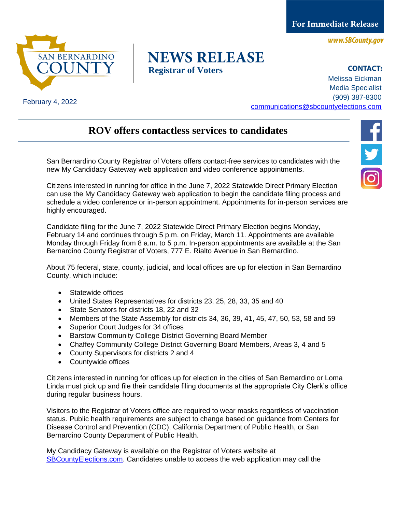**For Immediate Release** 

www.SBCounty.gov



## February 4, 2022

## **NEWS RELEASE Registrar of Voters**

**CONTACT:** Melissa Eickman Media Specialist (909) 387-8300 [communications@sbcountyelections.com](mailto:Communications@sbcountyelections.com)

## **ROV offers contactless services to candidates**

San Bernardino County Registrar of Voters offers contact-free services to candidates with the new My Candidacy Gateway web application and video conference appointments.

Citizens interested in running for office in the June 7, 2022 Statewide Direct Primary Election can use the My Candidacy Gateway web application to begin the candidate filing process and schedule a video conference or in-person appointment. Appointments for in-person services are highly encouraged.

Candidate filing for the June 7, 2022 Statewide Direct Primary Election begins Monday, February 14 and continues through 5 p.m. on Friday, March 11. Appointments are available Monday through Friday from 8 a.m. to 5 p.m. In-person appointments are available at the San Bernardino County Registrar of Voters, 777 E. Rialto Avenue in San Bernardino.

About 75 federal, state, county, judicial, and local offices are up for election in San Bernardino County, which include:

- Statewide offices
- United States Representatives for districts 23, 25, 28, 33, 35 and 40
- State Senators for districts 18, 22 and 32
- Members of the State Assembly for districts 34, 36, 39, 41, 45, 47, 50, 53, 58 and 59
- Superior Court Judges for 34 offices
- Barstow Community College District Governing Board Member
- Chaffey Community College District Governing Board Members, Areas 3, 4 and 5
- County Supervisors for districts 2 and 4
- Countywide offices

Citizens interested in running for offices up for election in the cities of San Bernardino or Loma Linda must pick up and file their candidate filing documents at the appropriate City Clerk's office during regular business hours.

Visitors to the Registrar of Voters office are required to wear masks regardless of vaccination status. Public health requirements are subject to change based on guidance from Centers for Disease Control and Prevention (CDC), California Department of Public Health, or San Bernardino County Department of Public Health.

My Candidacy Gateway is available on the Registrar of Voters website at [SBCountyElections.com.](http://www.sbcountyelections.com/) Candidates unable to access the web application may call the